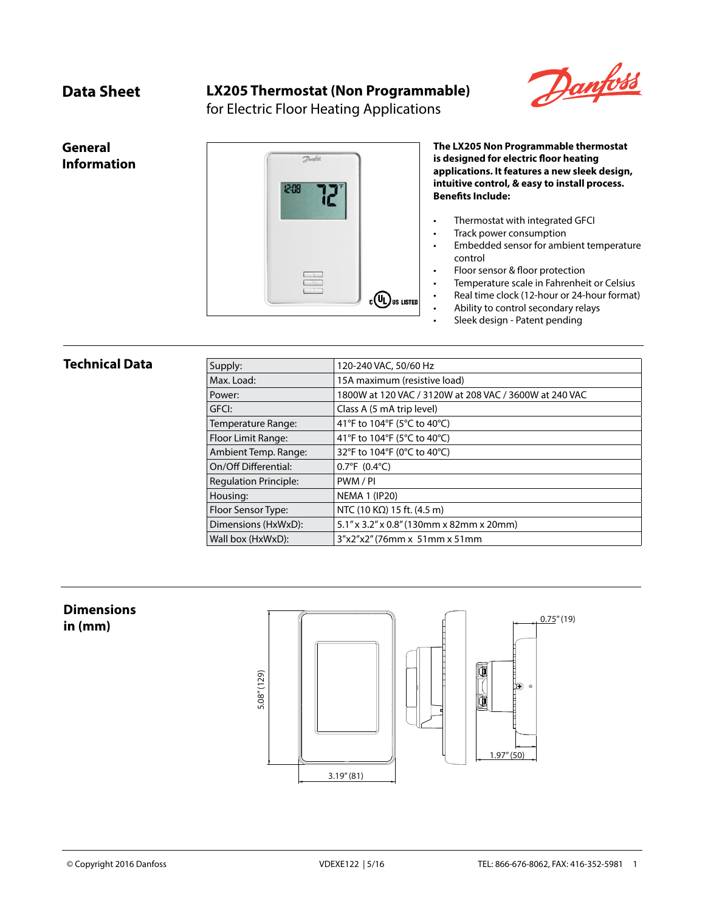## **Data Sheet LX205 Thermostat (Non Programmable)**



for Electric Floor Heating Applications

**General Information**



**The LX205 Non Programmable thermostat is designed for electric floor heating applications. It features a new sleek design, intuitive control, & easy to install process. Benefits Include:**

- Thermostat with integrated GFCI
- Track power consumption
- Embedded sensor for ambient temperature control
- Floor sensor & floor protection
- Temperature scale in Fahrenheit or Celsius
- Real time clock (12-hour or 24-hour format)
- Ability to control secondary relays
- Sleek design Patent pending

## **Technical Data**

| Supply:                      | 120-240 VAC, 50/60 Hz                                  |  |
|------------------------------|--------------------------------------------------------|--|
| Max. Load:                   | 15A maximum (resistive load)                           |  |
| Power:                       | 1800W at 120 VAC / 3120W at 208 VAC / 3600W at 240 VAC |  |
| GFCI:                        | Class A (5 mA trip level)                              |  |
| Temperature Range:           | 41°F to 104°F (5°C to 40°C)                            |  |
| Floor Limit Range:           | 41°F to 104°F (5°C to 40°C)                            |  |
| Ambient Temp. Range:         | 32°F to 104°F (0°C to 40°C)                            |  |
| On/Off Differential:         | $0.7^{\circ}F(0.4^{\circ}C)$                           |  |
| <b>Regulation Principle:</b> | PWM/PI                                                 |  |
| Housing:                     | <b>NEMA 1 (IP20)</b>                                   |  |
| Floor Sensor Type:           | NTC (10 K $\Omega$ ) 15 ft. (4.5 m)                    |  |
| Dimensions (HxWxD):          | 5.1" x 3.2" x 0.8" (130mm x 82mm x 20mm)               |  |
| Wall box (HxWxD):            | $3''x2''x2''$ (76mm x 51mm x 51mm                      |  |

# **Dimensions**

**in (mm)**